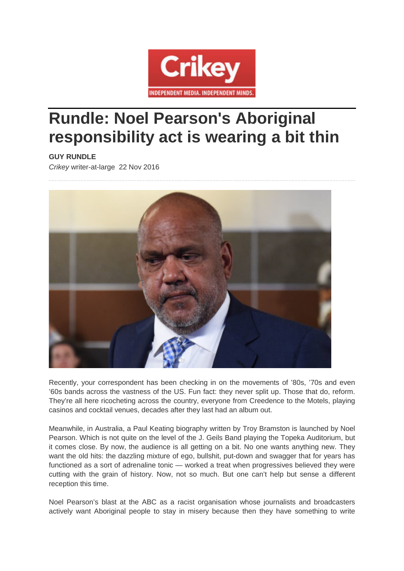

## **Rundle: Noel Pearson's Aboriginal responsibility act is wearing a bit thin**

## **GUY RUNDLE**

*Crikey* writer-at-large 22 Nov 2016



Recently, your correspondent has been checking in on the movements of '80s, '70s and even '60s bands across the vastness of the US. Fun fact: they never split up. Those that do, reform. They're all here ricocheting across the country, everyone from Creedence to the Motels, playing casinos and cocktail venues, decades after they last had an album out.

Meanwhile, in Australia, a Paul Keating biography written by Troy Bramston is launched by Noel Pearson. Which is not quite on the level of the J. Geils Band playing the Topeka Auditorium, but it comes close. By now, the audience is all getting on a bit. No one wants anything new. They want the old hits: the dazzling mixture of ego, bullshit, put-down and swagger that for years has functioned as a sort of adrenaline tonic — worked a treat when progressives believed they were cutting with the grain of history. Now, not so much. But one can't help but sense a different reception this time.

Noel Pearson's blast at the ABC as a racist organisation whose journalists and broadcasters actively want Aboriginal people to stay in misery because then they have something to write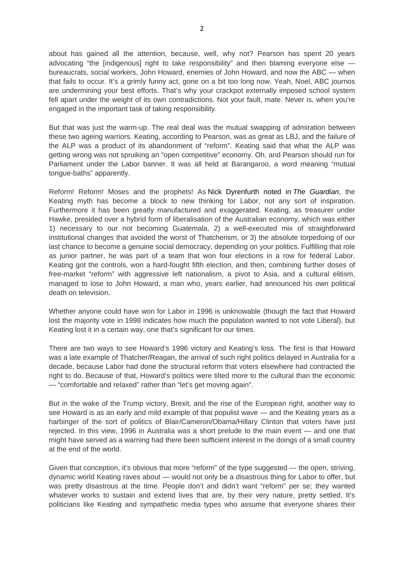about has gained all the attention, because, well, why not? Pearson has spent 20 years advocating "the [indigenous] right to take responsibility" and then blaming everyone else bureaucrats, social workers, John Howard, enemies of John Howard, and now the ABC — when that fails to occur. It's a grimly funny act, gone on a bit too long now. Yeah, Noel, ABC journos are undermining your best efforts. That's why your crackpot externally imposed school system fell apart under the weight of its own contradictions. Not your fault, mate. Never is, when you're engaged in the important task of taking responsibility.

But that was just the warm-up. The real deal was the mutual swapping of admiration between these two ageing warriors. Keating, according to Pearson, was as great as LBJ, and the failure of the ALP was a product of its abandonment of "reform". Keating said that what the ALP was getting wrong was not spruiking an "open competitive" economy. Oh, and Pearson should run for Parliament under the Labor banner. It was all held at Barangaroo, a word meaning "mutual tongue-baths" apparently.

Reform! Reform! Moses and the prophets! As Nick Dyrenfurth noted in *The Guardian*, the Keating myth has become a block to new thinking for Labor, not any sort of inspiration. Furthermore it has been greatly manufactured and exaggerated. Keating, as treasurer under Hawke, presided over a hybrid form of liberalisation of the Australian economy, which was either 1) necessary to our not becoming Guatemala, 2) a well-executed mix of straightforward institutional changes that avoided the worst of Thatcherism, or 3) the absolute torpedoing of our last chance to become a genuine social democracy, depending on your politics. Fulfilling that role as junior partner, he was part of a team that won four elections in a row for federal Labor. Keating got the controls, won a hard-fought fifth election, and then, combining further doses of free-market "reform" with aggressive left nationalism, a pivot to Asia, and a cultural elitism, managed to lose to John Howard, a man who, years earlier, had announced his own political death on television.

Whether anyone could have won for Labor in 1996 is unknowable (though the fact that Howard lost the majority vote in 1998 indicates how much the population wanted to not vote Liberal), but Keating lost it in a certain way, one that's significant for our times.

There are two ways to see Howard's 1996 victory and Keating's loss. The first is that Howard was a late example of Thatcher/Reagan, the arrival of such right politics delayed in Australia for a decade, because Labor had done the structural reform that voters elsewhere had contracted the right to do. Because of that, Howard's politics were tilted more to the cultural than the economic — "comfortable and relaxed" rather than "let's get moving again".

But in the wake of the Trump victory, Brexit, and the rise of the European right, another way to see Howard is as an early and mild example of that populist wave — and the Keating years as a harbinger of the sort of politics of Blair/Cameron/Obama/Hillary Clinton that voters have just rejected. In this view, 1996 in Australia was a short prelude to the main event — and one that might have served as a warning had there been sufficient interest in the doings of a small country at the end of the world.

Given that conception, it's obvious that more "reform" of the type suggested — the open, striving, dynamic world Keating raves about — would not only be a disastrous thing for Labor to offer, but was pretty disastrous at the time. People don't and didn't want "reform" per se; they wanted whatever works to sustain and extend lives that are, by their very nature, pretty settled. It's politicians like Keating and sympathetic media types who assume that everyone shares their